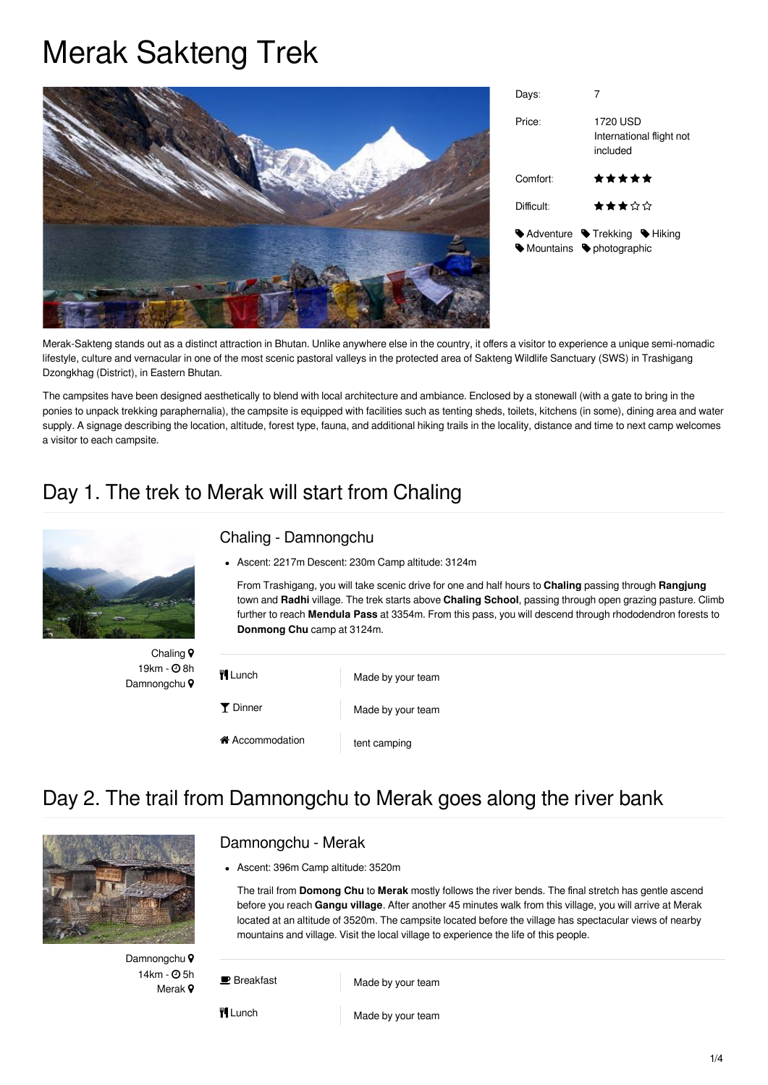# Merak Sakteng Trek



| Davs:                  |                                                  |
|------------------------|--------------------------------------------------|
| Price:                 | 1720 USD<br>International flight not<br>included |
| Comfort:               | *****                                            |
| Difficult:             | ★★★☆☆                                            |
| Mountains photographic | ♦ Adventure ♦ Trekking ♦ Hiking                  |

Merak-Sakteng stands out as a distinct attraction in Bhutan. Unlike anywhere else in the country, it offers a visitor to experience a unique semi-nomadic lifestyle, culture and vernacular in one of the most scenic pastoral valleys in the protected area of Sakteng Wildlife Sanctuary (SWS) in Trashigang Dzongkhag (District), in Eastern Bhutan.

The campsites have been designed aesthetically to blend with local architecture and ambiance. Enclosed by a stonewall (with a gate to bring in the ponies to unpack trekking paraphernalia), the campsite is equipped with facilities such as tenting sheds, toilets, kitchens (in some), dining area and water supply. A signage describing the location, altitude, forest type, fauna, and additional hiking trails in the locality, distance and time to next camp welcomes a visitor to each campsite.

## Day 1. The trek to Merak will start from Chaling



Chaling ? 19km -  $\Theta$  8h Damnongchu<sup>9</sup>

#### Chaling - Damnongchu

Ascent: 2217m Descent: 230m Camp altitude: 3124m

From Trashigang, you will take scenic drive for one and half hours to **Chaling** passing through **Rangjung** town and **Radhi** village. The trek starts above **Chaling School**, passing through open grazing pasture. Climb further to reach **Mendula Pass** at 3354m. From this pass, you will descend through rhododendron forests to **Donmong Chu** camp at 3124m.

| <b>H</b> Lunch   | Made by your team |
|------------------|-------------------|
| Y Dinner         | Made by your team |
| in Accommodation | tent camping      |

## Day 2. The trail from Damnongchu to Merak goes along the river bank



#### Damnongchu - Merak

Ascent: 396m Camp altitude: 3520m

The trail from **Domong Chu** to **Merak** mostly follows the river bends. The final stretch has gentle ascend before you reach **Gangu village**. After another 45 minutes walk from this village, you will arrive at Merak located at an altitude of 3520m. The campsite located before the village has spectacular views of nearby mountains and village. Visit the local village to experience the life of this people.

Damnongchu<sup>Q</sup> 14km -  $\Omega$ 5h Merak 9

**B** Breakfast Made by your team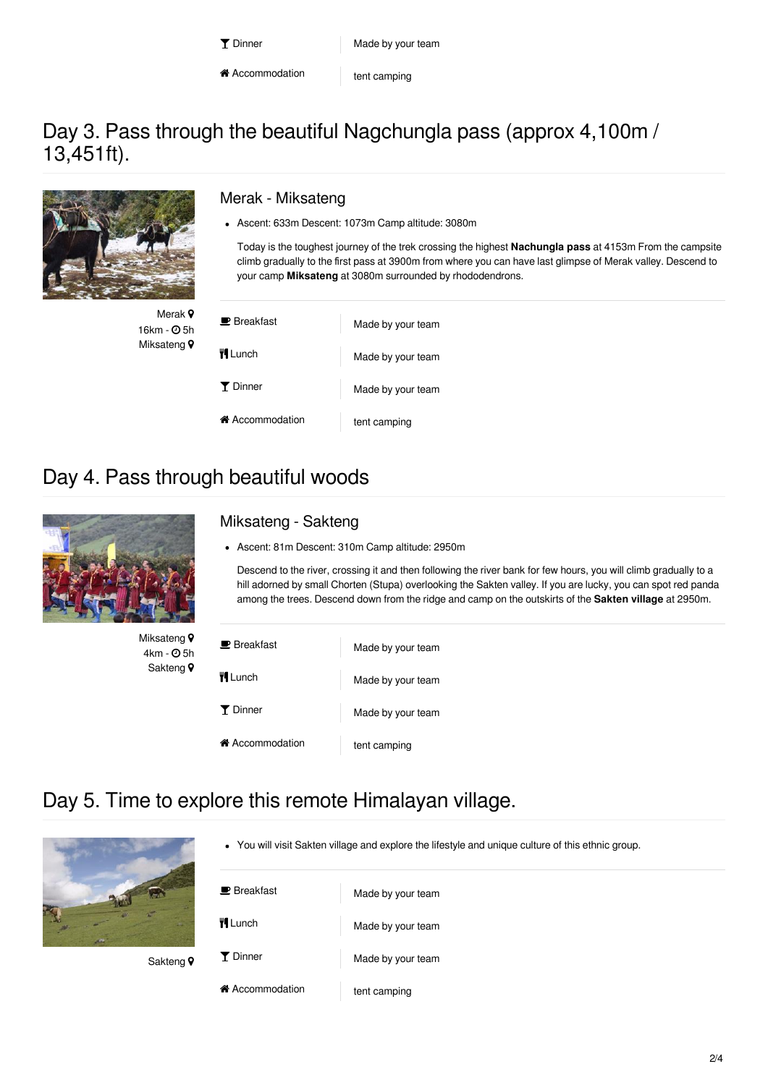\* Accommodation tent camping

#### Day 3. Pass through the beautiful Nagchungla pass (approx 4,100m / 13,451ft).



Merak 9 16km -  $\Theta$  5h Miksateng<sup>9</sup>

#### Merak - Miksateng

Ascent: 633m Descent: 1073m Camp altitude: 3080m

Today is the toughest journey of the trek crossing the highest **Nachungla pass** at 4153m From the campsite climb gradually to the first pass at 3900m from where you can have last glimpse of Merak valley. Descend to your camp **Miksateng** at 3080m surrounded by rhododendrons.

| $\blacksquare$ Breakfast | Made by your team |
|--------------------------|-------------------|
| <b>WILunch</b>           | Made by your team |
| Y Dinner                 | Made by your team |
| ie Accommodation         | tent camping      |

### Day 4. Pass through beautiful woods



Miksateng<sup>9</sup>  $4km - Q5h$ Sakteng<sup>9</sup>

#### Miksateng - Sakteng

Ascent: 81m Descent: 310m Camp altitude: 2950m

Descend to the river, crossing it and then following the river bank for few hours, you will climb gradually to a hill adorned by small Chorten (Stupa) overlooking the Sakten valley. If you are lucky, you can spot red panda among the trees. Descend down from the ridge and camp on the outskirts of the **Sakten village** at 2950m.

| $\blacksquare$ Breakfast | Made by your team |
|--------------------------|-------------------|
| <b>WILunch</b>           | Made by your team |
| Y Dinner                 | Made by your team |
| in Accommodation         | tent camping      |

## Day 5. Time to explore this remote Himalayan village.



Sakteng<sup>9</sup>

You will visit Sakten village and explore the lifestyle and unique culture of this ethnic group.

| $\blacksquare$ Breakfast          | Made by your team |
|-----------------------------------|-------------------|
| <b>\ll</b> Lunch                  | Made by your team |
| Y Dinner                          | Made by your team |
| <b><sup>→</sup></b> Accommodation | tent camping      |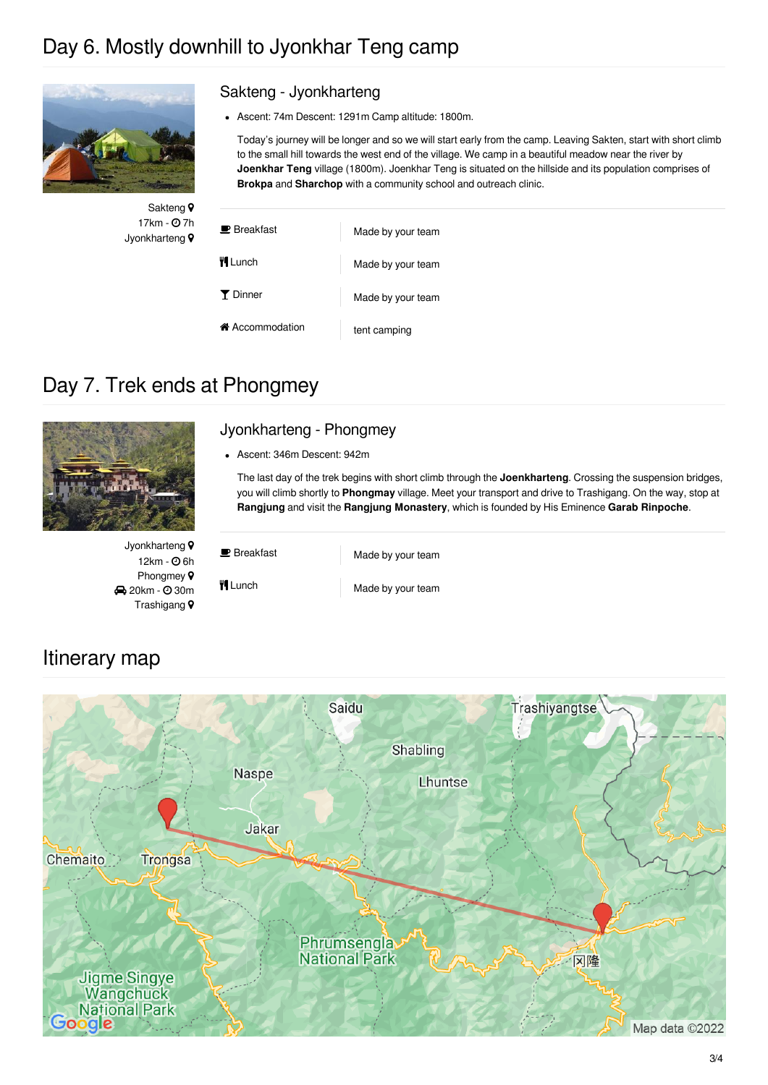## Day 6. Mostly downhill to Jyonkhar Teng camp



Sakteng<sup>9</sup>  $17km - Q$  7h Jyonkharteng<sup>9</sup>

#### Sakteng - Jyonkharteng

Ascent: 74m Descent: 1291m Camp altitude: 1800m.

Today's journey will be longer and so we will start early from the camp. Leaving Sakten, start with short climb to the small hill towards the west end of the village. We camp in a beautiful meadow near the river by **Joenkhar Teng** village (1800m). Joenkhar Teng is situated on the hillside and its population comprises of **Brokpa** and **Sharchop** with a community school and outreach clinic.

| $\blacksquare$ Breakfast | Made by your team |
|--------------------------|-------------------|
| <b>TI</b> Lunch          | Made by your team |
| Y Dinner                 | Made by your team |
| i Accommodation          | tent camping      |

## Day 7. Trek ends at Phongmey



#### Jyonkharteng - Phongmey

Ascent: 346m Descent: 942m

The last day of the trek begins with short climb through the **Joenkharteng**. Crossing the suspension bridges, you will climb shortly to **Phongmay** village. Meet your transport and drive to Trashigang. On the way, stop at **Rangjung** and visit the **Rangjung Monastery**, which is founded by His Eminence **Garab Rinpoche**.

Jyonkharteng<sup>9</sup>  $12km - Q6h$ Phongmey  $\circ$ **20km - 030m** Trashigang

**Breakfast** Made by your team

#### **The Lunch Made by your team**

#### Itinerary map